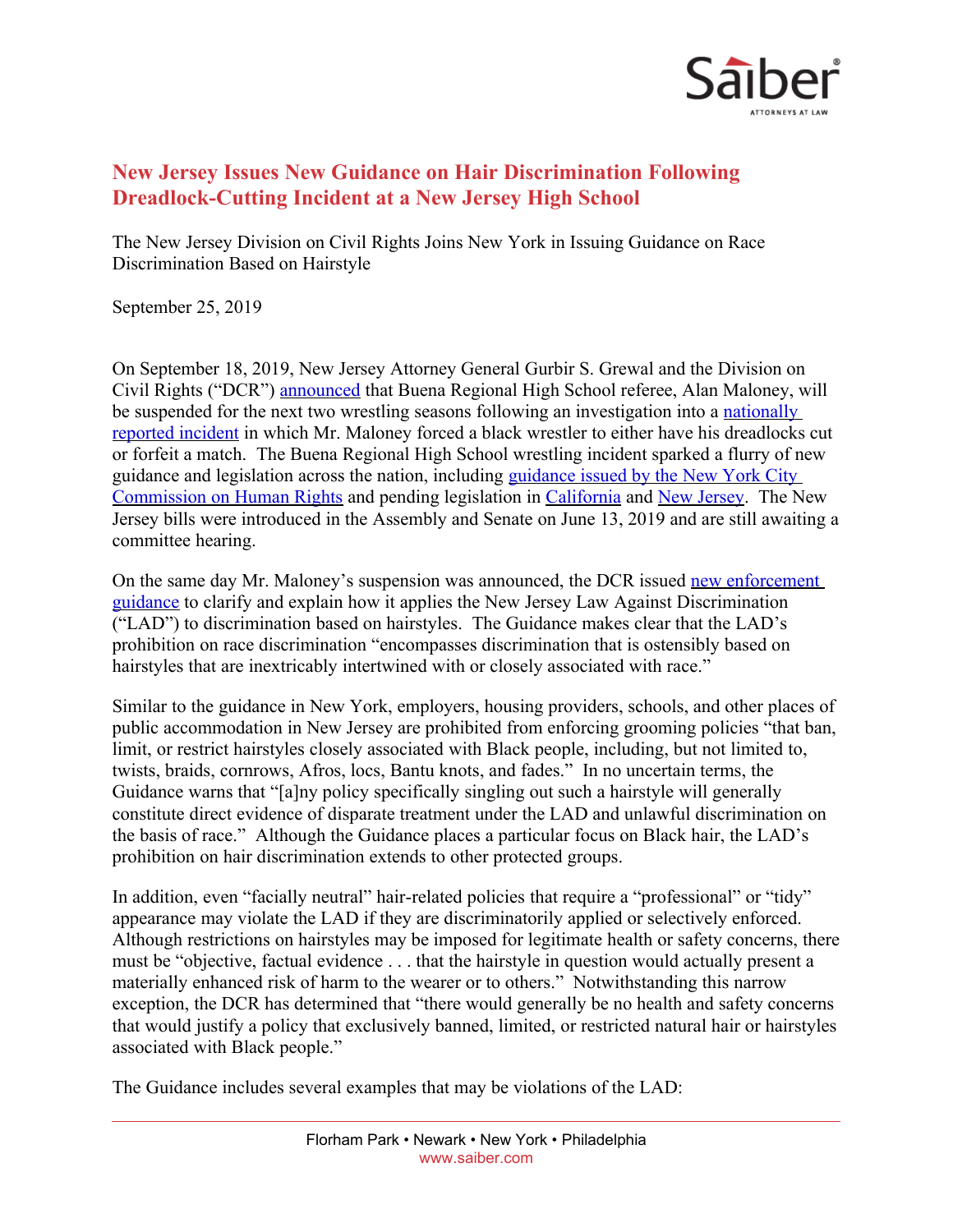

## **New Jersey Issues New Guidance on Hair Discrimination Following Dreadlock-Cutting Incident at a New Jersey High School**

The New Jersey Division on Civil Rights Joins New York in Issuing Guidance on Race Discrimination Based on Hairstyle

September 25, 2019

On September 18, 2019, New Jersey Attorney General Gurbir S. Grewal and the Division on Civil Rights ("DCR") [announced](https://www.nj.gov/oag/newsreleases19/pr20190918a.html) that Buena Regional High School referee, Alan Maloney, will be suspended for the next two wrestling seasons following an investigation into a [nationally](https://www.usatoday.com/story/sports/highschool/2018/12/21/nj-referee-makes-wrestler-cut-dreadlocks-forfeit-match/38780287/)  [reported incident](https://www.usatoday.com/story/sports/highschool/2018/12/21/nj-referee-makes-wrestler-cut-dreadlocks-forfeit-match/38780287/) in which Mr. Maloney forced a black wrestler to either have his dreadlocks cut or forfeit a match. The Buena Regional High School wrestling incident sparked a flurry of new guidance and legislation across the nation, including [guidance issued by the New York City](https://www1.nyc.gov/assets/cchr/downloads/pdf/Hair-Guidance.pdf)  [Commission on Human Rights](https://www1.nyc.gov/assets/cchr/downloads/pdf/Hair-Guidance.pdf) and pending legislation in [California](https://leginfo.legislature.ca.gov/faces/billTextClient.xhtml?bill_id=201920200SB188) and [New Jersey](https://www.saiber.com/insights/publications/2019-06-26-new-jersey-becomes-the-latest-state-to-propose-a-ban-on-hair-discrimination). The New Jersey bills were introduced in the Assembly and Senate on June 13, 2019 and are still awaiting a committee hearing.

On the same day Mr. Maloney's suspension was announced, the DCR issued [new enforcement](https://www.nj.gov/lps/dcr/downloads/dcr-guide_Hair-Discrimination.pdf)  [guidance](https://www.nj.gov/lps/dcr/downloads/dcr-guide_Hair-Discrimination.pdf) to clarify and explain how it applies the New Jersey Law Against Discrimination ("LAD") to discrimination based on hairstyles. The Guidance makes clear that the LAD's prohibition on race discrimination "encompasses discrimination that is ostensibly based on hairstyles that are inextricably intertwined with or closely associated with race."

Similar to the guidance in New York, employers, housing providers, schools, and other places of public accommodation in New Jersey are prohibited from enforcing grooming policies "that ban, limit, or restrict hairstyles closely associated with Black people, including, but not limited to, twists, braids, cornrows, Afros, locs, Bantu knots, and fades." In no uncertain terms, the Guidance warns that "[a]ny policy specifically singling out such a hairstyle will generally constitute direct evidence of disparate treatment under the LAD and unlawful discrimination on the basis of race." Although the Guidance places a particular focus on Black hair, the LAD's prohibition on hair discrimination extends to other protected groups.

In addition, even "facially neutral" hair-related policies that require a "professional" or "tidy" appearance may violate the LAD if they are discriminatorily applied or selectively enforced. Although restrictions on hairstyles may be imposed for legitimate health or safety concerns, there must be "objective, factual evidence . . . that the hairstyle in question would actually present a materially enhanced risk of harm to the wearer or to others." Notwithstanding this narrow exception, the DCR has determined that "there would generally be no health and safety concerns that would justify a policy that exclusively banned, limited, or restricted natural hair or hairstyles associated with Black people."

The Guidance includes several examples that may be violations of the LAD: